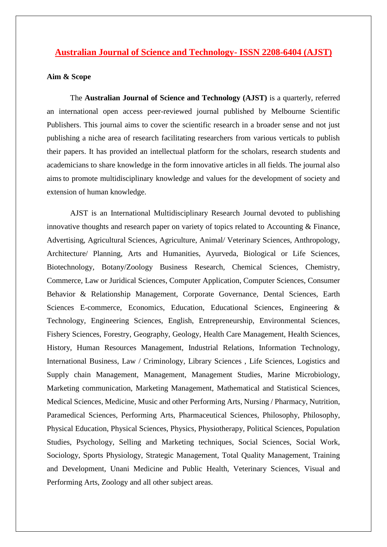## **Australian Journal of Science and Technology- ISSN 2208-6404 (AJST)**

## **Aim & Scope**

The **Australian Journal of Science and Technology (AJST)** is a quarterly, referred an international open access peer-reviewed journal published by Melbourne Scientific Publishers. This journal aims to cover the scientific research in a broader sense and not just publishing a niche area of research facilitating researchers from various verticals to publish their papers. It has provided an intellectual platform for the scholars, research students and academicians to share knowledge in the form innovative articles in all fields. The journal also aims to promote multidisciplinary knowledge and values for the development of society and extension of human knowledge.

AJST is an International Multidisciplinary Research Journal devoted to publishing innovative thoughts and research paper on variety of topics related to Accounting & Finance, Advertising, Agricultural Sciences, Agriculture, Animal/ Veterinary Sciences, Anthropology, Architecture/ Planning, Arts and Humanities, Ayurveda, Biological or Life Sciences, Biotechnology, Botany/Zoology Business Research, Chemical Sciences, Chemistry, Commerce, Law or Juridical Sciences, Computer Application, Computer Sciences, Consumer Behavior & Relationship Management, Corporate Governance, Dental Sciences, Earth Sciences E-commerce, Economics, Education, Educational Sciences, Engineering & Technology, Engineering Sciences, English, Entrepreneurship, Environmental Sciences, Fishery Sciences, Forestry, Geography, Geology, Health Care Management, Health Sciences, History, Human Resources Management, Industrial Relations, Information Technology, International Business, Law / Criminology, Library Sciences , Life Sciences, Logistics and Supply chain Management, Management, Management Studies, Marine Microbiology, Marketing communication, Marketing Management, Mathematical and Statistical Sciences, Medical Sciences, Medicine, Music and other Performing Arts, Nursing / Pharmacy, Nutrition, Paramedical Sciences, Performing Arts, Pharmaceutical Sciences, Philosophy, Philosophy, Physical Education, Physical Sciences, Physics, Physiotherapy, Political Sciences, Population Studies, Psychology, Selling and Marketing techniques, Social Sciences, Social Work, Sociology, Sports Physiology, Strategic Management, Total Quality Management, Training and Development, Unani Medicine and Public Health, Veterinary Sciences, Visual and Performing Arts, Zoology and all other subject areas.